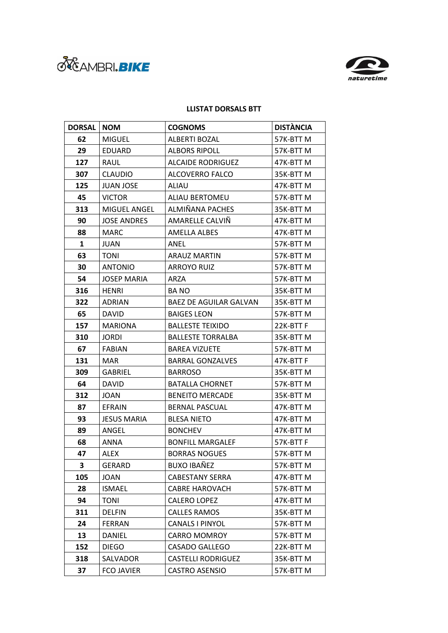



## **LLISTAT DORSALS BTT**

| <b>DORSAL</b> | <b>NOM</b>         | <b>COGNOMS</b>                | <b>DISTÀNCIA</b> |
|---------------|--------------------|-------------------------------|------------------|
| 62            | <b>MIGUEL</b>      | <b>ALBERTI BOZAL</b>          | 57K-BTTM         |
| 29            | <b>EDUARD</b>      | <b>ALBORS RIPOLL</b>          | 57K-BTT M        |
| 127           | RAUL               | <b>ALCAIDE RODRIGUEZ</b>      | 47K-BTT M        |
| 307           | <b>CLAUDIO</b>     | ALCOVERRO FALCO               | 35K-BTT M        |
| 125           | <b>JUAN JOSE</b>   | ALIAU                         | 47K-BTTM         |
| 45            | <b>VICTOR</b>      | <b>ALIAU BERTOMEU</b>         | 57K-BTTM         |
| 313           | MIGUEL ANGEL       | ALMIÑANA PACHES               | 35K-BTT M        |
| 90            | <b>JOSE ANDRES</b> | AMARELLE CALVIÑ               | 47K-BTT M        |
| 88            | MARC               | AMELLA ALBES                  | 47K-BTT M        |
| $\mathbf{1}$  | JUAN               | ANEL                          | 57K-BTTM         |
| 63            | <b>TONI</b>        | <b>ARAUZ MARTIN</b>           | 57K-BTT M        |
| 30            | <b>ANTONIO</b>     | <b>ARROYO RUIZ</b>            | 57K-BTTM         |
| 54            | <b>JOSEP MARIA</b> | ARZA                          | 57K-BTT M        |
| 316           | <b>HENRI</b>       | <b>BANO</b>                   | 35K-BTT M        |
| 322           | ADRIAN             | <b>BAEZ DE AGUILAR GALVAN</b> | 35K-BTTM         |
| 65            | <b>DAVID</b>       | <b>BAIGES LEON</b>            | 57K-BTT M        |
| 157           | <b>MARIONA</b>     | <b>BALLESTE TEIXIDO</b>       | 22K-BTT F        |
| 310           | <b>JORDI</b>       | <b>BALLESTE TORRALBA</b>      | 35K-BTT M        |
| 67            | <b>FABIAN</b>      | <b>BAREA VIZUETE</b>          | 57K-BTT M        |
| 131           | <b>MAR</b>         | <b>BARRAL GONZALVES</b>       | 47K-BTT F        |
| 309           | <b>GABRIEL</b>     | <b>BARROSO</b>                | 35K-BTT M        |
| 64            | <b>DAVID</b>       | <b>BATALLA CHORNET</b>        | 57K-BTTM         |
| 312           | <b>JOAN</b>        | <b>BENEITO MERCADE</b>        | 35K-BTT M        |
| 87            | <b>EFRAIN</b>      | <b>BERNAL PASCUAL</b>         | 47K-BTT M        |
| 93            | <b>JESUS MARIA</b> | <b>BLESA NIETO</b>            | 47K-BTT M        |
| 89            | ANGEL              | <b>BONCHEV</b>                | 47K-BTT M        |
| 68            | ANNA               | <b>BONFILL MARGALEF</b>       | 57K-BTTF         |
| 47            | <b>ALEX</b>        | <b>BORRAS NOGUES</b>          | 57K-BTTM         |
| 3             | <b>GERARD</b>      | <b>BUXO IBAÑEZ</b>            | 57K-BTTM         |
| 105           | <b>JOAN</b>        | <b>CABESTANY SERRA</b>        | 47K-BTTM         |
| 28            | <b>ISMAEL</b>      | <b>CABRE HAROVACH</b>         | 57K-BTT M        |
| 94            | <b>TONI</b>        | <b>CALERO LOPEZ</b>           | 47K-BTT M        |
| 311           | <b>DELFIN</b>      | <b>CALLES RAMOS</b>           | 35K-BTTM         |
| 24            | <b>FERRAN</b>      | <b>CANALS I PINYOL</b>        | 57K-BTTM         |
| 13            | DANIEL             | <b>CARRO MOMROY</b>           | 57K-BTT M        |
| 152           | <b>DIEGO</b>       | <b>CASADO GALLEGO</b>         | 22K-BTT M        |
| 318           | SALVADOR           | <b>CASTELLI RODRIGUEZ</b>     | 35K-BTT M        |
| 37            | <b>FCO JAVIER</b>  | <b>CASTRO ASENSIO</b>         | 57K-BTT M        |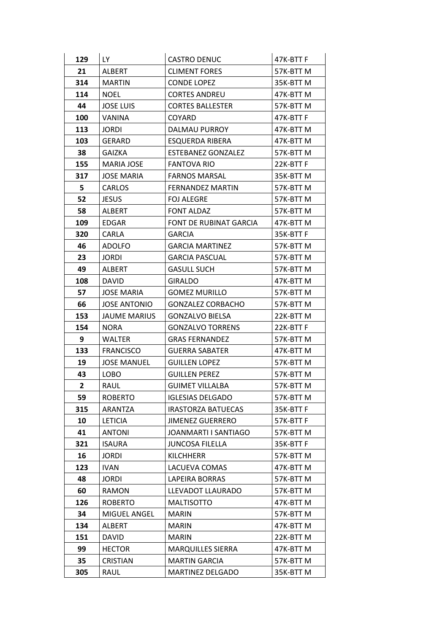| 129            | LY.                 | <b>CASTRO DENUC</b>       | 47K-BTT F |
|----------------|---------------------|---------------------------|-----------|
| 21             | ALBERT              | <b>CLIMENT FORES</b>      | 57K-BTT M |
| 314            | <b>MARTIN</b>       | <b>CONDE LOPEZ</b>        | 35K-BTT M |
| 114            | NOEL                | <b>CORTES ANDREU</b>      | 47K-BTT M |
| 44             | <b>JOSE LUIS</b>    | <b>CORTES BALLESTER</b>   | 57K-BTT M |
| 100            | <b>VANINA</b>       | <b>COYARD</b>             | 47K-BTTF  |
| 113            | <b>JORDI</b>        | <b>DALMAU PURROY</b>      | 47K-BTT M |
| 103            | <b>GERARD</b>       | ESQUERDA RIBERA           | 47K-BTT M |
| 38             | GAIZKA              | <b>ESTEBANEZ GONZALEZ</b> | 57K-BTT M |
| 155            | MARIA JOSE          | <b>FANTOVA RIO</b>        | 22K-BTT F |
| 317            | JOSE MARIA          | <b>FARNOS MARSAL</b>      | 35K-BTT M |
| 5              | CARLOS              | <b>FERNANDEZ MARTIN</b>   | 57K-BTTM  |
| 52             | <b>JESUS</b>        | <b>FOJ ALEGRE</b>         | 57K-BTT M |
| 58             | ALBERT              | <b>FONT ALDAZ</b>         | 57K-BTT M |
| 109            | <b>EDGAR</b>        | FONT DE RUBINAT GARCIA    | 47K-BTT M |
| 320            | CARLA               | <b>GARCIA</b>             | 35K-BTT F |
| 46             | <b>ADOLFO</b>       | <b>GARCIA MARTINEZ</b>    | 57K-BTT M |
| 23             | <b>JORDI</b>        | <b>GARCIA PASCUAL</b>     | 57K-BTT M |
| 49             | <b>ALBERT</b>       | <b>GASULL SUCH</b>        | 57K-BTT M |
| 108            | <b>DAVID</b>        | <b>GIRALDO</b>            | 47K-BTT M |
| 57             | <b>JOSE MARIA</b>   | <b>GOMEZ MURILLO</b>      | 57K-BTT M |
| 66             | <b>JOSE ANTONIO</b> | <b>GONZALEZ CORBACHO</b>  | 57K-BTT M |
| 153            | JAUME MARIUS        | <b>GONZALVO BIELSA</b>    | 22K-BTT M |
| 154            | <b>NORA</b>         | <b>GONZALVO TORRENS</b>   | 22K-BTT F |
| 9              | WALTER              | <b>GRAS FERNANDEZ</b>     | 57K-BTT M |
| 133            | <b>FRANCISCO</b>    | <b>GUERRA SABATER</b>     | 47K-BTT M |
| 19             | <b>JOSE MANUEL</b>  | <b>GUILLEN LOPEZ</b>      | 57K-BTT M |
| 43             | LOBO                | <b>GUILLEN PEREZ</b>      | 57K-BTT M |
| $\overline{2}$ | RAUL                | <b>GUIMET VILLALBA</b>    | 57K-BTTM  |
| 59             | <b>ROBERTO</b>      | <b>IGLESIAS DELGADO</b>   | 57K-BTTM  |
| 315            | ARANTZA             | <b>IRASTORZA BATUECAS</b> | 35K-BTTF  |
| 10             | <b>LETICIA</b>      | <b>JIMENEZ GUERRERO</b>   | 57K-BTTF  |
| 41             | <b>ANTONI</b>       | JOANMARTI I SANTIAGO      | 57K-BTT M |
| 321            | <b>ISAURA</b>       | <b>JUNCOSA FILELLA</b>    | 35K-BTTF  |
| 16             | JORDI               | <b>KILCHHERR</b>          | 57K-BTTM  |
| 123            | <b>IVAN</b>         | LACUEVA COMAS             | 47K-BTTM  |
| 48             | <b>JORDI</b>        | <b>LAPEIRA BORRAS</b>     | 57K-BTTM  |
| 60             | RAMON               | LLEVADOT LLAURADO         | 57K-BTT M |
| 126            | <b>ROBERTO</b>      | <b>MALTISOTTO</b>         | 47K-BTTM  |
| 34             | MIGUEL ANGEL        | <b>MARIN</b>              | 57K-BTT M |
| 134            | <b>ALBERT</b>       | <b>MARIN</b>              | 47K-BTTM  |
| 151            | DAVID               | <b>MARIN</b>              | 22K-BTT M |
| 99             | <b>HECTOR</b>       | <b>MARQUILLES SIERRA</b>  | 47K-BTT M |
| 35             | <b>CRISTIAN</b>     | <b>MARTIN GARCIA</b>      | 57K-BTTM  |
| 305            | RAUL                | MARTINEZ DELGADO          | 35K-BTT M |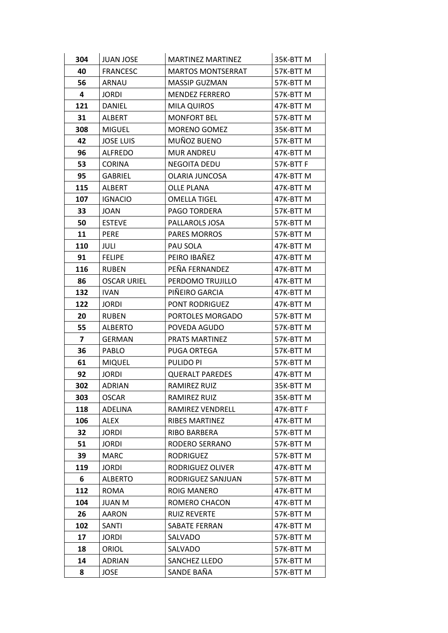| 304 | <b>JUAN JOSE</b>   | <b>MARTINEZ MARTINEZ</b> | 35K-BTT M |
|-----|--------------------|--------------------------|-----------|
| 40  | <b>FRANCESC</b>    | <b>MARTOS MONTSERRAT</b> | 57K-BTT M |
| 56  | ARNAU              | MASSIP GUZMAN            | 57K-BTTM  |
| 4   | JORDI              | <b>MENDEZ FERRERO</b>    | 57K-BTT M |
| 121 | <b>DANIEL</b>      | <b>MILA QUIROS</b>       | 47K-BTTM  |
| 31  | ALBERT             | <b>MONFORT BEL</b>       | 57K-BTT M |
| 308 | <b>MIGUEL</b>      | <b>MORENO GOMEZ</b>      | 35K-BTT M |
| 42  | <b>JOSE LUIS</b>   | MUÑOZ BUENO              | 57K-BTT M |
| 96  | <b>ALFREDO</b>     | <b>MUR ANDREU</b>        | 47K-BTT M |
| 53  | <b>CORINA</b>      | <b>NEGOITA DEDU</b>      | 57K-BTTF  |
| 95  | <b>GABRIEL</b>     | OLARIA JUNCOSA           | 47K-BTT M |
| 115 | <b>ALBERT</b>      | <b>OLLE PLANA</b>        | 47K-BTTM  |
| 107 | <b>IGNACIO</b>     | <b>OMELLA TIGEL</b>      | 47K-BTT M |
| 33  | JOAN               | PAGO TORDERA             | 57K-BTT M |
| 50  | <b>ESTEVE</b>      | PALLAROLS JOSA           | 57K-BTT M |
| 11  | PERE               | <b>PARES MORROS</b>      | 57K-BTT M |
| 110 | <b>JULI</b>        | PAU SOLA                 | 47K-BTTM  |
| 91  | <b>FELIPE</b>      | PEIRO IBAÑEZ             | 47K-BTT M |
| 116 | <b>RUBEN</b>       | PEÑA FERNANDEZ           | 47K-BTT M |
| 86  | <b>OSCAR URIEL</b> | PERDOMO TRUJILLO         | 47K-BTT M |
| 132 | <b>IVAN</b>        | PIÑEIRO GARCIA           | 47K-BTT M |
| 122 | <b>JORDI</b>       | PONT RODRIGUEZ           | 47K-BTTM  |
| 20  | <b>RUBEN</b>       | PORTOLES MORGADO         | 57K-BTT M |
| 55  | <b>ALBERTO</b>     | POVEDA AGUDO             | 57K-BTT M |
| 7   | <b>GERMAN</b>      | <b>PRATS MARTINEZ</b>    | 57K-BTTM  |
| 36  | PABLO              | PUGA ORTEGA              | 57K-BTT M |
| 61  | <b>MIQUEL</b>      | <b>PULIDO PI</b>         | 57K-BTTM  |
| 92  | JORDI              | <b>QUERALT PAREDES</b>   | 47K-BTT M |
| 302 | <b>ADRIAN</b>      | <b>RAMIREZ RUIZ</b>      | 35K-BTTM  |
| 303 | <b>OSCAR</b>       | <b>RAMIREZ RUIZ</b>      | 35K-BTT M |
| 118 | ADELINA            | RAMIREZ VENDRELL         | 47K-BTT F |
| 106 | <b>ALEX</b>        | <b>RIBES MARTINEZ</b>    | 47K-BTTM  |
| 32  | <b>JORDI</b>       | RIBO BARBERA             | 57K-BTT M |
| 51  | <b>JORDI</b>       | RODERO SERRANO           | 57K-BTTM  |
| 39  | <b>MARC</b>        | <b>RODRIGUEZ</b>         | 57K-BTTM  |
| 119 | <b>JORDI</b>       | RODRIGUEZ OLIVER         | 47K-BTT M |
| 6   | <b>ALBERTO</b>     | RODRIGUEZ SANJUAN        | 57K-BTT M |
| 112 | <b>ROMA</b>        | ROIG MANERO              | 47K-BTT M |
| 104 | <b>JUAN M</b>      | ROMERO CHACON            | 47K-BTTM  |
| 26  | AARON              | <b>RUIZ REVERTE</b>      | 57K-BTT M |
| 102 | SANTI              | SABATE FERRAN            | 47K-BTTM  |
| 17  | <b>JORDI</b>       | SALVADO                  | 57K-BTT M |
| 18  | ORIOL              | SALVADO                  | 57K-BTT M |
| 14  | ADRIAN             | SANCHEZ LLEDO            | 57K-BTT M |
| 8   | <b>JOSE</b>        | SANDE BAÑA               | 57K-BTT M |